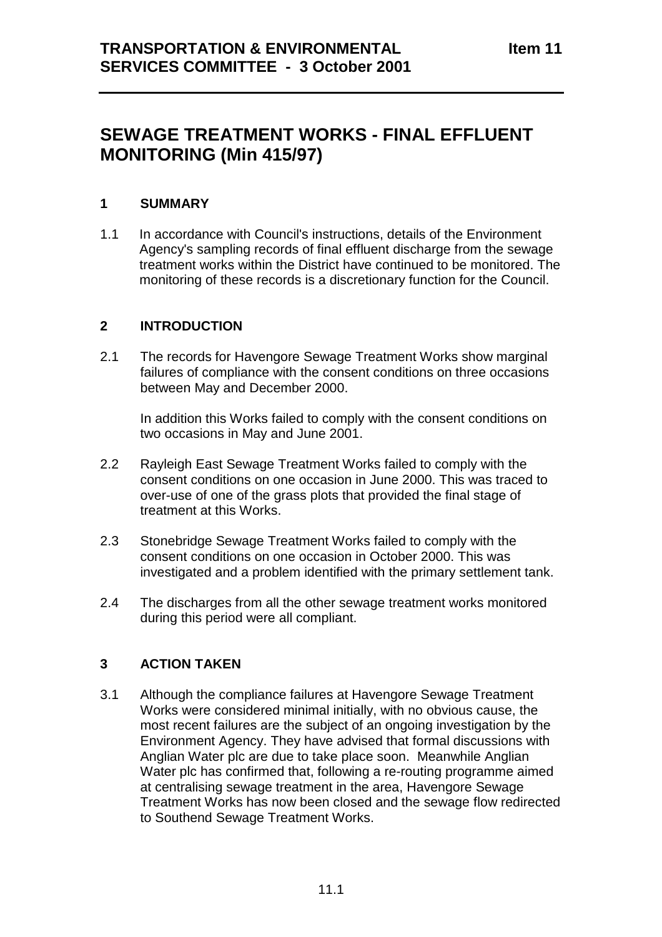# **SEWAGE TREATMENT WORKS - FINAL EFFLUENT MONITORING (Min 415/97)**

#### **1 SUMMARY**

1.1 In accordance with Council's instructions, details of the Environment Agency's sampling records of final effluent discharge from the sewage treatment works within the District have continued to be monitored. The monitoring of these records is a discretionary function for the Council.

# **2 INTRODUCTION**

2.1 The records for Havengore Sewage Treatment Works show marginal failures of compliance with the consent conditions on three occasions between May and December 2000.

In addition this Works failed to comply with the consent conditions on two occasions in May and June 2001.

- 2.2 Rayleigh East Sewage Treatment Works failed to comply with the consent conditions on one occasion in June 2000. This was traced to over-use of one of the grass plots that provided the final stage of treatment at this Works.
- 2.3 Stonebridge Sewage Treatment Works failed to comply with the consent conditions on one occasion in October 2000. This was investigated and a problem identified with the primary settlement tank.
- 2.4 The discharges from all the other sewage treatment works monitored during this period were all compliant.

# **3 ACTION TAKEN**

3.1 Although the compliance failures at Havengore Sewage Treatment Works were considered minimal initially, with no obvious cause, the most recent failures are the subject of an ongoing investigation by the Environment Agency. They have advised that formal discussions with Anglian Water plc are due to take place soon. Meanwhile Anglian Water plc has confirmed that, following a re-routing programme aimed at centralising sewage treatment in the area, Havengore Sewage Treatment Works has now been closed and the sewage flow redirected to Southend Sewage Treatment Works.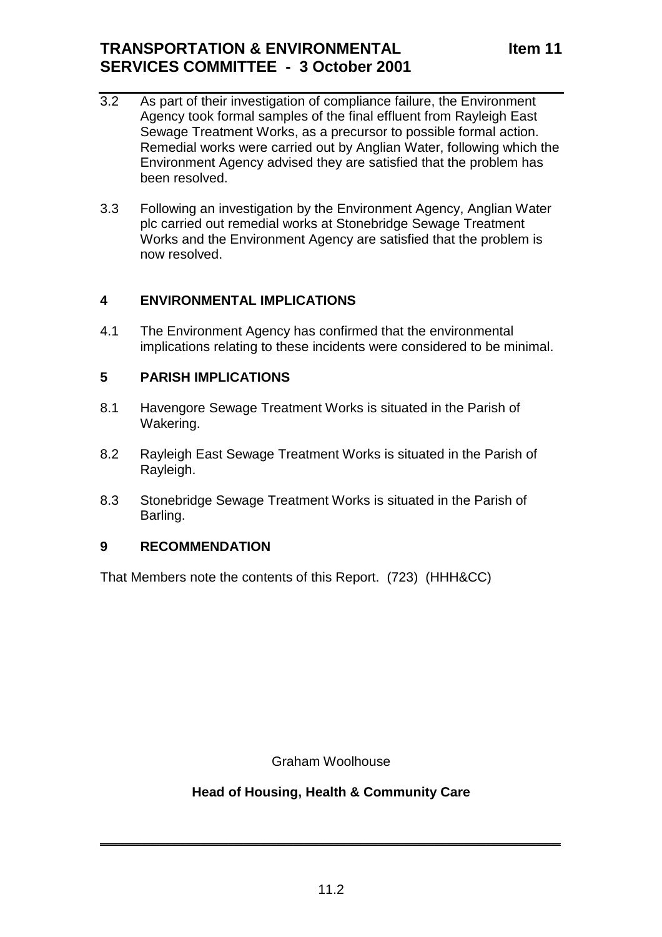# **TRANSPORTATION & ENVIRONMENTAL SERVICES COMMITTEE - 3 October 2001**

- 3.2 As part of their investigation of compliance failure, the Environment Agency took formal samples of the final effluent from Rayleigh East Sewage Treatment Works, as a precursor to possible formal action. Remedial works were carried out by Anglian Water, following which the Environment Agency advised they are satisfied that the problem has been resolved.
- 3.3 Following an investigation by the Environment Agency, Anglian Water plc carried out remedial works at Stonebridge Sewage Treatment Works and the Environment Agency are satisfied that the problem is now resolved.

#### **4 ENVIRONMENTAL IMPLICATIONS**

4.1 The Environment Agency has confirmed that the environmental implications relating to these incidents were considered to be minimal.

# **5 PARISH IMPLICATIONS**

- 8.1 Havengore Sewage Treatment Works is situated in the Parish of Wakering.
- 8.2 Rayleigh East Sewage Treatment Works is situated in the Parish of Rayleigh.
- 8.3 Stonebridge Sewage Treatment Works is situated in the Parish of Barling.

# **9 RECOMMENDATION**

That Members note the contents of this Report. (723) (HHH&CC)

Graham Woolhouse

# **Head of Housing, Health & Community Care**

 $\frac{1}{2}$  ,  $\frac{1}{2}$  ,  $\frac{1}{2}$  ,  $\frac{1}{2}$  ,  $\frac{1}{2}$  ,  $\frac{1}{2}$  ,  $\frac{1}{2}$  ,  $\frac{1}{2}$  ,  $\frac{1}{2}$  ,  $\frac{1}{2}$  ,  $\frac{1}{2}$  ,  $\frac{1}{2}$  ,  $\frac{1}{2}$  ,  $\frac{1}{2}$  ,  $\frac{1}{2}$  ,  $\frac{1}{2}$  ,  $\frac{1}{2}$  ,  $\frac{1}{2}$  ,  $\frac{1$